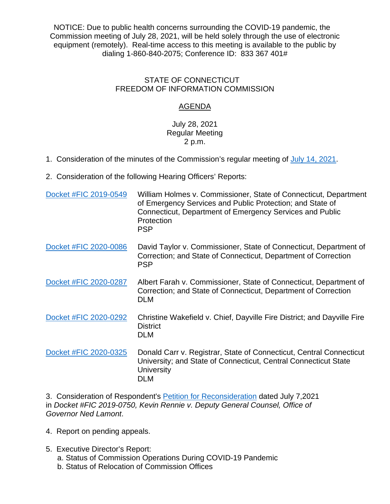NOTICE: Due to public health concerns surrounding the COVID-19 pandemic, the Commission meeting of July 28, 2021, will be held solely through the use of electronic equipment (remotely). Real-time access to this meeting is available to the public by dialing 1-860-840-2075; Conference ID: 833 367 401#

## STATE OF CONNECTICUT FREEDOM OF INFORMATION COMMISSION

## AGENDA

## July 28, 2021 Regular Meeting 2 p.m.

- 1. Consideration of the minutes of the Commission's regular meeting of [July 14, 2021.](https://portal.ct.gov/-/media/FOI/Minutes/2021/Minutes-7-14-2021.pdf)
- 2. Consideration of the following Hearing Officers' Reports:

| Docket #FIC 2019-0549 | William Holmes v. Commissioner, State of Connecticut, Department<br>of Emergency Services and Public Protection; and State of<br>Connecticut, Department of Emergency Services and Public<br>Protection<br><b>PSP</b> |
|-----------------------|-----------------------------------------------------------------------------------------------------------------------------------------------------------------------------------------------------------------------|
| Docket #FIC 2020-0086 | David Taylor v. Commissioner, State of Connecticut, Department of<br>Correction; and State of Connecticut, Department of Correction<br><b>PSP</b>                                                                     |
| Docket #FIC 2020-0287 | Albert Farah v. Commissioner, State of Connecticut, Department of<br>Correction; and State of Connecticut, Department of Correction<br><b>DLM</b>                                                                     |
| Docket #FIC 2020-0292 | Christine Wakefield v. Chief, Dayville Fire District; and Dayville Fire<br><b>District</b><br><b>DLM</b>                                                                                                              |
| Docket #FIC 2020-0325 | Donald Carr v. Registrar, State of Connecticut, Central Connecticut<br>University; and State of Connecticut, Central Connecticut State<br>University<br><b>DLM</b>                                                    |

3. Consideration of Respondent's [Petition for Reconsideration](https://portal.ct.gov/-/media/FOI/Agendas/2021/jul28/2019-0750%20Motion.pdf) dated July 7,2021 in *Docket #FIC 2019-0750, Kevin Rennie v. Deputy General Counsel, Office of Governor Ned Lamont*.

- 4. Report on pending appeals.
- 5. Executive Director's Report: a. Status of Commission Operations During COVID-19 Pandemic b. Status of Relocation of Commission Offices